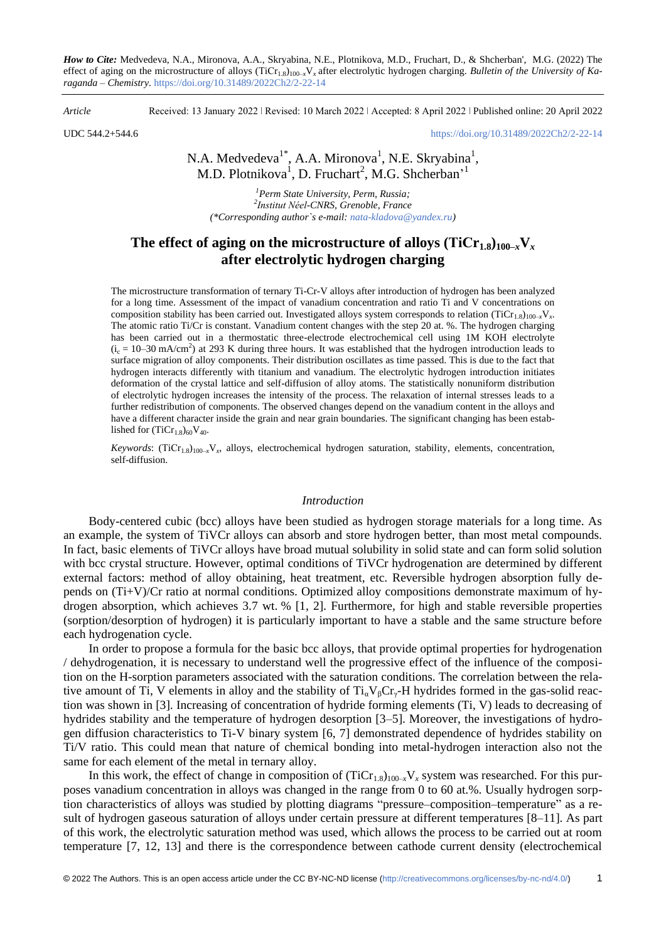*How to Cite:* Medvedeva, N.A., Mironova, A.A., Skryabina, N.E., Plotnikova, M.D., Fruchart, D., & Shcherban', M.G. (2022) The effect of aging on the microstructure of alloys (ТiСr1.8)100–*x*V*<sup>x</sup>* after electrolytic hydrogen charging. *Bulletin of the University of Karaganda – Chemistry.* https://doi.org/10.31489/2022Ch2/2-22-14

*Article* Received: 13 January 2022 ǀ Revised: 10 March 2022 ǀ Accepted: 8 April 2022 ǀ Published online: 20 April 2022

UDC 544.2+544.6 <https://doi.org/10.31489/2022Ch2/2-22-14>

N.A. Medvedeva<sup>1\*</sup>, A.A. Mironova<sup>1</sup>, N.E. Skryabina<sup>1</sup>, M.D. Plotnikova<sup>1</sup>, D. Fruchart<sup>2</sup>, M.G. Shcherban<sup>,1</sup>

*<sup>1</sup>Perm State University, Perm, Russia; 2 Institut Néel-CNRS, Grenoble, France (\*Corresponding author`s e-mail: [nata-kladova@yandex.ru\)](mailto:nata-kladova@yandex.ru)*

# **The effect of aging on the microstructure of alloys**  $(TiCr<sub>1.8</sub>)_{100-x}V<sub>x</sub>$ **after electrolytic hydrogen charging**

The microstructure transformation of ternary Ti-Cr-V alloys after introduction of hydrogen has been analyzed for a long time. Assessment of the impact of vanadium concentration and ratio Ti and V concentrations on composition stability has been carried out. Investigated alloys system corresponds to relation  $(Ticr_{1.8})_{100-x}V_x$ . The atomic ratio Ti/Cr is constant. Vanadium content changes with the step 20 at. %. The hydrogen charging has been carried out in a thermostatic three-electrode electrochemical cell using 1M KOH electrolyte  $(i_c = 10-30 \text{ mA/cm}^2)$  at 293 K during three hours. It was established that the hydrogen introduction leads to surface migration of alloy components. Their distribution oscillates as time passed. This is due to the fact that hydrogen interacts differently with titanium and vanadium. The electrolytic hydrogen introduction initiates deformation of the crystal lattice and self-diffusion of alloy atoms. The statistically nonuniform distribution of electrolytic hydrogen increases the intensity of the process. The relaxation of internal stresses leads to a further redistribution of components. The observed changes depend on the vanadium content in the alloys and have a different character inside the grain and near grain boundaries. The significant changing has been established for  $(TiCr_{1.8})_{60}V_{40}$ .

 $Keywords: (TiCr<sub>1.8</sub>)<sub>100-x</sub>V<sub>x</sub>$ , alloys, electrochemical hydrogen saturation, stability, elements, concentration, self-diffusion.

#### *Introduction*

Body-centered cubic (bcc) alloys have been studied as hydrogen storage materials for a long time. As an example, the system of TiVCr alloys can absorb and store hydrogen better, than most metal compounds. In fact, basic elements of TiVCr alloys have broad mutual solubility in solid state and can form solid solution with bcc crystal structure. However, optimal conditions of TiVCr hydrogenation are determined by different external factors: method of alloy obtaining, heat treatment, etc. Reversible hydrogen absorption fully depends on (Ti+V)/Cr ratio at normal conditions. Optimized alloy compositions demonstrate maximum of hydrogen absorption, which achieves 3.7 wt. % [1, 2]. Furthermore, for high and stable reversible properties (sorption/desorption of hydrogen) it is particularly important to have a stable and the same structure before each hydrogenation cycle.

In order to propose a formula for the basic bcc alloys, that provide optimal properties for hydrogenation / dehydrogenation, it is necessary to understand well the progressive effect of the influence of the composition on the H-sorption parameters associated with the saturation conditions. The correlation between the relative amount of Ti, V elements in alloy and the stability of  $Ti<sub>a</sub>V<sub>B</sub>Cr<sub>y</sub>-H$  hydrides formed in the gas-solid reaction was shown in [3]. Increasing of concentration of hydride forming elements (Ti, V) leads to decreasing of hydrides stability and the temperature of hydrogen desorption [3–5]. Moreover, the investigations of hydrogen diffusion characteristics to Ti-V binary system [6, 7] demonstrated dependence of hydrides stability on Ti/V ratio. This could mean that nature of chemical bonding into metal-hydrogen interaction also not the same for each element of the metal in ternary alloy.

In this work, the effect of change in composition of  $(TiCr_{1.8})_{100-x}V_x$  system was researched. For this purposes vanadium concentration in alloys was changed in the range from 0 to 60 at.%. Usually hydrogen sorption characteristics of alloys was studied by plotting diagrams "pressure–composition–temperature" as a result of hydrogen gaseous saturation of alloys under certain pressure at different temperatures [8–11]. As part of this work, the electrolytic saturation method was used, which allows the process to be carried out at room temperature [7, 12, 13] and there is the correspondence between cathode current density (electrochemical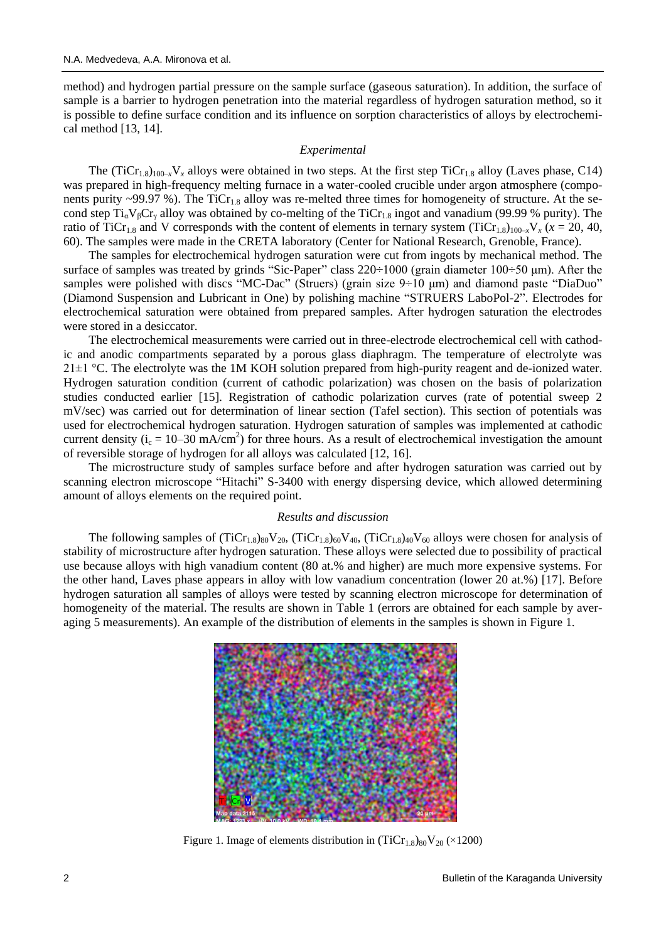method) and hydrogen partial pressure on the sample surface (gaseous saturation). In addition, the surface of sample is a barrier to hydrogen penetration into the material regardless of hydrogen saturation method, so it is possible to define surface condition and its influence on sorption characteristics of alloys by electrochemical method [13, 14].

## *Experimental*

The  $(TiCr_{1.8})_{100-x}V_x$  alloys were obtained in two steps. At the first step  $TiCr_{1.8}$  alloy (Laves phase, C14) was prepared in high-frequency melting furnace in a water-cooled crucible under argon atmosphere (components purity ~99.97 %). The  $TiCr_{1.8}$  alloy was re-melted three times for homogeneity of structure. At the second step  $Ti_{\alpha}V_{\beta}Cr_{\gamma}$  alloy was obtained by co-melting of the TiCr<sub>1.8</sub> ingot and vanadium (99.99 % purity). The ratio of TiCr<sub>1.8</sub> and V corresponds with the content of elements in ternary system (TiCr<sub>1.8)100–*x*</sub>V<sub>*x*</sub> ( $x = 20, 40$ , 60). The samples were made in the CRETA laboratory (Center for National Research, Grenoble, France).

The samples for electrochemical hydrogen saturation were cut from ingots by mechanical method. The surface of samples was treated by grinds "Sic-Paper" class 220÷1000 (grain diameter 100÷50 μm). After the samples were polished with discs "MC-Dac" (Struers) (grain size 9÷10 μm) and diamond paste "DiaDuo" (Diamond Suspension and Lubricant in One) by polishing machine "STRUERS LaboPol-2". Electrodes for electrochemical saturation were obtained from prepared samples. After hydrogen saturation the electrodes were stored in a desiccator.

The electrochemical measurements were carried out in three-electrode electrochemical cell with cathodic and anodic compartments separated by a porous glass diaphragm. The temperature of electrolyte was  $21\pm1$  °C. The electrolyte was the 1M KOH solution prepared from high-purity reagent and de-ionized water. Hydrogen saturation condition (current of cathodic polarization) was chosen on the basis of polarization studies conducted earlier [15]. Registration of cathodic polarization curves (rate of potential sweep 2 mV/sec) was carried out for determination of linear section (Tafel section). This section of potentials was used for electrochemical hydrogen saturation. Hydrogen saturation of samples was implemented at cathodic current density ( $i_c = 10-30$  mA/cm<sup>2</sup>) for three hours. As a result of electrochemical investigation the amount of reversible storage of hydrogen for all alloys was calculated [12, 16].

The microstructure study of samples surface before and after hydrogen saturation was carried out by scanning electron microscope "Hitachi" S-3400 with energy dispersing device, which allowed determining amount of alloys elements on the required point.

### *Results and discussion*

The following samples of  $(TiCr_{1.8})_{80}V_{20}$ ,  $(TiCr_{1.8})_{60}V_{40}$ ,  $(TiCr_{1.8})_{40}V_{60}$  alloys were chosen for analysis of stability of microstructure after hydrogen saturation. These alloys were selected due to possibility of practical use because alloys with high vanadium content (80 at.% and higher) are much more expensive systems. For the other hand, Laves phase appears in alloy with low vanadium concentration (lower 20 at.%) [17]. Before hydrogen saturation all samples of alloys were tested by scanning electron microscope for determination of homogeneity of the material. The results are shown in Table 1 (errors are obtained for each sample by averaging 5 measurements). An example of the distribution of elements in the samples is shown in Figure 1.



Figure 1. Image of elements distribution in  $(TiCr_{1.8})_{80}V_{20}$  (×1200)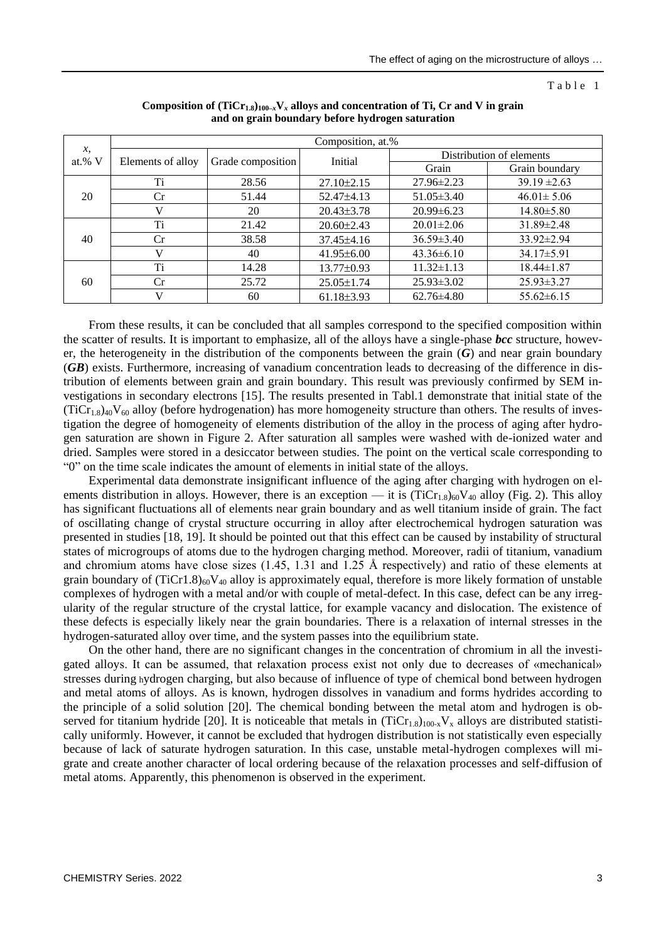Table 1

|                            | Composition, at.% |                   |                  |                          |                  |
|----------------------------|-------------------|-------------------|------------------|--------------------------|------------------|
| $\mathcal{X},$<br>at.% $V$ | Elements of alloy | Grade composition | Initial          | Distribution of elements |                  |
|                            |                   |                   |                  | Grain                    | Grain boundary   |
| 20                         | Ti                | 28.56             | $27.10 \pm 2.15$ | $27.96 \pm 2.23$         | $39.19 \pm 2.63$ |
|                            | Cr                | 51.44             | $52.47\pm4.13$   | $51.05 \pm 3.40$         | $46.01 \pm 5.06$ |
|                            | V                 | 20                | $20.43 \pm 3.78$ | $20.99 \pm 6.23$         | $14.80 \pm 5.80$ |
| 40                         | Ti                | 21.42             | $20.60 \pm 2.43$ | $20.01 \pm 2.06$         | 31.89±2.48       |
|                            | Сr                | 38.58             | $37.45 \pm 4.16$ | $36.59 \pm 3.40$         | $33.92 \pm 2.94$ |
|                            | $\mathbf{V}$      | 40                | $41.95\pm 6.00$  | $43.36\pm 6.10$          | $34.17 \pm 5.91$ |
| 60                         | Ti                | 14.28             | $13.77 \pm 0.93$ | $11.32 \pm 1.13$         | $18.44 \pm 1.87$ |
|                            | Сr                | 25.72             | $25.05 \pm 1.74$ | $25.93 \pm 3.02$         | $25.93 \pm 3.27$ |
|                            | v                 | 60                | $61.18\pm3.93$   | $62.76 \pm 4.80$         | $55.62 \pm 6.15$ |

| Composition of $(Tic_{1,s})_{100-x}V_x$ alloys and concentration of Ti, Cr and V in grain |
|-------------------------------------------------------------------------------------------|
| and on grain boundary before hydrogen saturation                                          |

From these results, it can be concluded that all samples correspond to the specified composition within the scatter of results. It is important to emphasize, all of the alloys have a single-phase *bcc* structure, however, the heterogeneity in the distribution of the components between the grain (*G*) and near grain boundary (*GB*) exists. Furthermore, increasing of vanadium concentration leads to decreasing of the difference in distribution of elements between grain and grain boundary. This result was previously confirmed by SEM investigations in secondary electrons [15]. The results presented in Tabl.1 demonstrate that initial state of the  $(Tic_{1.8})_{40}V_{60}$  alloy (before hydrogenation) has more homogeneity structure than others. The results of investigation the degree of homogeneity of elements distribution of the alloy in the process of aging after hydrogen saturation are shown in Figure 2. After saturation all samples were washed with de-ionized water and dried. Samples were stored in a desiccator between studies. The point on the vertical scale corresponding to "0" on the time scale indicates the amount of elements in initial state of the alloys.

Experimental data demonstrate insignificant influence of the aging after charging with hydrogen on elements distribution in alloys. However, there is an exception — it is  $(TiCr_{1.8})_{60}V_{40}$  alloy (Fig. 2). This alloy has significant fluctuations all of elements near grain boundary and as well titanium inside of grain. The fact of oscillating change of crystal structure occurring in alloy after electrochemical hydrogen saturation was presented in studies [18, 19]. It should be pointed out that this effect can be caused by instability of structural states of microgroups of atoms due to the hydrogen charging method. Moreover, radii of titanium, vanadium and chromium atoms have close sizes (1.45, 1.31 and 1.25 Å respectively) and ratio of these elements at grain boundary of  $(TiCr1.8)_{60}V_{40}$  alloy is approximately equal, therefore is more likely formation of unstable complexes of hydrogen with a metal and/or with couple of metal-defect. In this case, defect can be any irregularity of the regular structure of the crystal lattice, for example vacancy and dislocation. The existence of these defects is especially likely near the grain boundaries. There is a relaxation of internal stresses in the hydrogen-saturated alloy over time, and the system passes into the equilibrium state.

On the other hand, there are no significant changes in the concentration of chromium in all the investigated alloys. It can be assumed, that relaxation process exist not only due to decreases of «mechanical» stresses during hydrogen charging, but also because of influence of type of chemical bond between hydrogen and metal atoms of alloys. As is known, hydrogen dissolves in vanadium and forms hydrides according to the principle of a solid solution [20]. The chemical bonding between the metal atom and hydrogen is observed for titanium hydride [20]. It is noticeable that metals in  $(Tic_{1.8})_{100-x}V_x$  alloys are distributed statistically uniformly. However, it cannot be excluded that hydrogen distribution is not statistically even especially because of lack of saturate hydrogen saturation. In this case, unstable metal-hydrogen complexes will migrate and create another character of local ordering because of the relaxation processes and self-diffusion of metal atoms. Apparently, this phenomenon is observed in the experiment.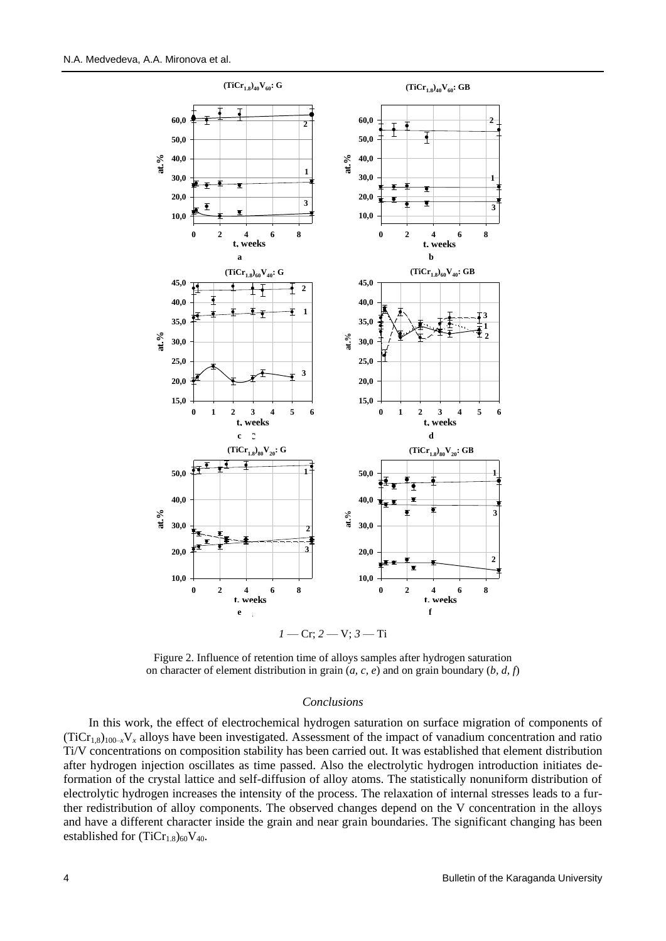

Figure 2. Influence of retention time of alloys samples after hydrogen saturation on character of element distribution in grain (*a, c, e*) and on grain boundary (*b, d, f*)

### *Conclusions*

In this work, the effect of electrochemical hydrogen saturation on surface migration of components of  $(TiCr_{1,8})_{100-x}V_x$  alloys have been investigated. Assessment of the impact of vanadium concentration and ratio Ti/V concentrations on composition stability has been carried out. It was established that element distribution after hydrogen injection oscillates as time passed. Also the electrolytic hydrogen introduction initiates deformation of the crystal lattice and self-diffusion of alloy atoms. The statistically nonuniform distribution of electrolytic hydrogen increases the intensity of the process. The relaxation of internal stresses leads to a further redistribution of alloy components. The observed changes depend on the V concentration in the alloys and have a different character inside the grain and near grain boundaries. The significant changing has been established for  $(TiCr_{1.8})_{60}V_{40}$ .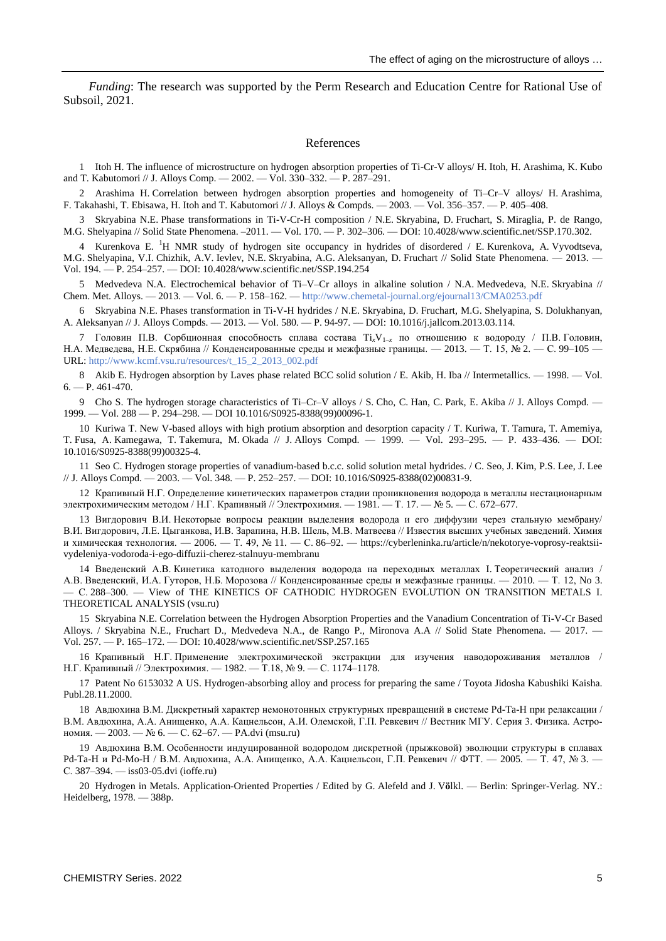*Funding*: The research was supported by the Perm Research and Education Centre for Rational Use of Subsoil, 2021.

### References

1 Itoh H. The influence of microstructure on hydrogen absorption properties of Ti-Cr-V alloys/ H. Itoh, H. Arashima, K. Kubo and T. Kabutomori // J. Alloys Comp. — 2002. — Vol. 330–332. — P. 287–291.

2 Arashima H. Correlation between hydrogen absorption properties and homogeneity of Ti–Cr–V alloys/ H. Arashima, F. Takahashi, T. Ebisawa, H. Itoh and T. Kabutomori // J. Alloys & Compds. — 2003. — Vol. 356–357. — P. 405–408.

3 Skryabina N.E. Phase transformations in Ti-V-Cr-H composition / N.E. Skryabina, D. Fruchart, S. Miraglia, P. de Rango, M.G. Shelyapina // Solid State Phenomena. –2011. — Vol. 170. — P. 302–306. — DOI: 10.4028/www.scientific.net/SSP.170.302.

4 Kurenkova E. <sup>1</sup>H NMR study of hydrogen site occupancy in hydrides of disordered / E. Kurenkova, A. Vyvodtseva, M.G. Shelyapina, V.I. Chizhik, A.V. Ievlev, N.E. Skryabina, A.G. Aleksanyan, D. Fruchart // Solid State Phenomena. — 2013. — Vol. 194. — P. 254–257. — DOI: 10.4028/www.scientific.net/SSP.194.254

5 Medvedeva N.A. Electrochemical behavior of Ti–V–Cr alloys in alkaline solution / N.A. Medvedeva, N.E. Skryabina // Chem. Met. Alloys. — 2013. — Vol. 6. — P. 158–162. — <http://www.chemetal-journal.org/ejournal13/CMA0253.pdf>

6 Skryabina N.E. Phases transformation in Ti-V-H hydrides / N.E. Skryabina, D. Fruchart, M.G. Shelyapina, S. Dolukhanyan, A. Aleksanyan // J. Alloys Compds. — 2013. — Vol. 580. — P. 94-97. — DOI: 10.1016/j.jallcom.2013.03.114.

7 Головин П.В. Сорбционная способность сплава состава Ti*x*V1–*<sup>x</sup>* по отношению к водороду / П.В. Головин, Н.А. Медведева, Н.Е. Скрябина // Конденсированные среды и межфазные границы. — 2013. — Т. 15, № 2. — С. 99–105 — URL: [http://www.kcmf.vsu.ru/resources/t\\_15\\_2\\_2013\\_002.pdf](http://www.kcmf.vsu.ru/resources/t_15_2_2013_002.pdf)

8 Akib E. Hydrogen absorption by Laves phase related BCC solid solution / E. Akib, H. Iba // Intermetallics*.* — 1998. — Vol.  $6. - P. 461 - 470.$ 

9 Cho S. The hydrogen storage characteristics of Ti–Cr–V alloys / S. Cho, C. Han, C. Park, E. Akiba // J. Alloys Compd. — 1999. — Vol. 288 — P. 294–298. — DOI 10.1016/S0925-8388(99)00096-1.

10 Kuriwa T. New V-based alloys with high protium absorption and desorption capacity / T. Kuriwa, T. Tamura, T. Amemiya, T. Fusa, A. Kamegawa, T. Takemura, M. Okada // J. Alloys Compd. — 1999. — Vol. 293–295. — P. 433–436. — DOI: 10.1016/S0925-8388(99)00325-4.

11 Seo C. Hydrogen storage properties of vanadium-based b.c.c. solid solution metal hydrides. / C. Seo, J. Kim, P.S. Lee, J. Lee // J. Alloys Compd. — 2003. — Vol. 348. — P. 252–257. — DOI: 10.1016/S0925-8388(02)00831-9.

12 Крапивный Н.Г. Определение кинетических параметров стадии проникновения водорода в металлы нестационарным электрохимическим методом / Н.Г. Крапивный // Электрохимия. — 1981. — Т. 17. — № 5. — С. 672–677.

13 Вигдорович В.И. Некоторые вопросы реакции выделения водорода и его диффузии через стальную мембрану/ В.И. Вигдорович, Л.Е. Цыганкова, И.В. Зарапина, Н.В. Шель, М.В. Матвеева // Известия высших учебных заведений. Химия и химическая технология. — 2006. — Т. 49, № 11. — С. 86–92. — https://cyberleninka.ru/article/n/nekotorye-voprosy-reaktsiivydeleniya-vodoroda-i-ego-diffuzii-cherez-stalnuyu-membranu

14 Введенский А.В. Кинетика катодного выделения водорода на переходных металлах I. Теоретический анализ / А.В. Введенский, И.А. Гуторов, Н.Б. Морозова // Конденсированные среды и межфазные границы. — 2010. — Т. 12, No 3. — С. 288–300. — View of THE KINETICS OF CATHODIC HYDROGEN EVOLUTION ON TRANSITION METALS I. THEORETICAL ANALYSIS (vsu.ru)

15 Skryabina N.E. Correlation between the Hydrogen Absorption Properties and the Vanadium Concentration of Ti-V-Cr Based Alloys. / Skryabina N.E., Fruchart D., Medvedeva N.A., de Rango P., Mironova A.A // Solid State Phenomena. — 2017. — Vol. 257. — P. 165–172. — DOI: 10.4028/www.scientific.net/SSP.257.165

16 Крапивный Н.Г. Применение электрохимической экстракции для изучения наводороживания металлов / Н.Г. Крапивный // Электрохимия. — 1982. — Т.18, № 9. — С. 1174–1178.

17 Patent No 6153032 A US. Hydrogen-absorbing alloy and process for preparing the same / Toyota Jidosha Kabushiki Kaisha. Publ.28.11.2000.

18 Авдюхина В.М. Дискретный характер немонотонных структурных превращений в системе Pd-Ta-H при релаксации / В.М. Авдюхина, А.А. Анищенко, А.А. Кацнельсон, А.И. Олемской, Г.П. Ревкевич // Вестник МГУ. Серия 3. Физика. Астрономия. — 2003. — № 6. — С. 62–67. — [PA.dvi \(msu.ru\)](https://phys.msu.ru/upload/iblock/27e/03-6-62.pdf)

19 Авдюхина В.М. Особенности индуцированной водородом дискретной (прыжковой) эволюции структуры в сплавах Pd-Ta-H и Pd-Mo-H / В.М. Авдюхина, А.А. Анищенко, А.А. Кацнельсон, Г.П. Ревкевич // ФТТ. — 2005. — Т. 47, № 3. — С. 387–394. — [iss03-05.dvi \(ioffe.ru\)](http://journals.ioffe.ru/articles/viewPDF/3745)

20 Hydrogen in Metals. Application-Oriented Properties / Edited by G. Alefeld and J. V**ö**lkl. — Berlin: Springer-Verlag. NY.: Heidelberg, 1978. — 388p.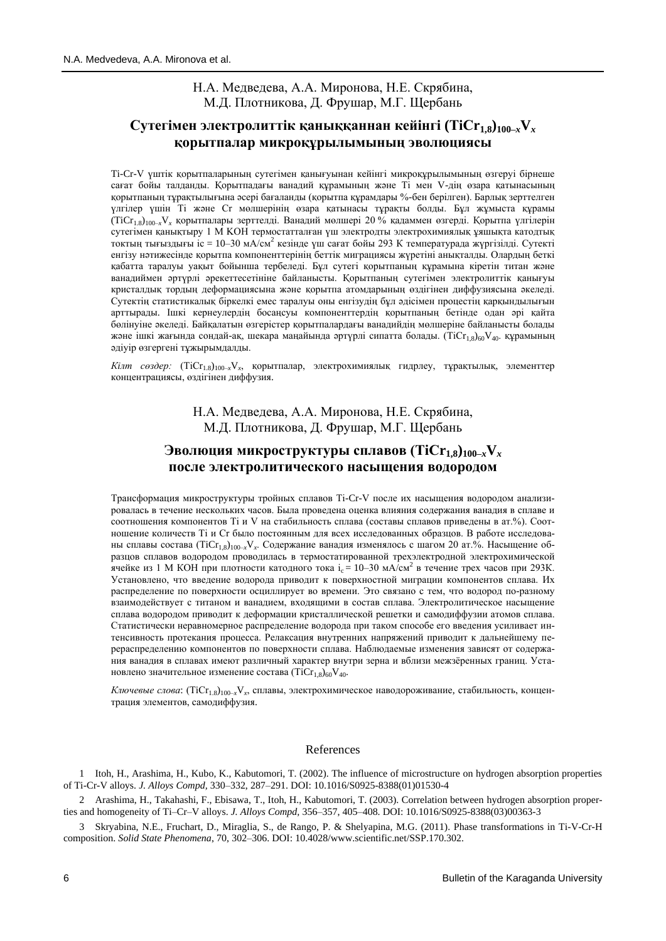## Н.А. Медведева, А.А. Миронова, Н.Е. Скрябина, М.Д. Плотникова, Д. Фрушар, М.Г. Щербань

# **Сутегімен электролиттік қаныққаннан кейінгі (ТiСr1,8)100–***x***V***<sup>x</sup>* **қорытпалар микроқұрылымының эволюциясы**

Ti-Cr-V үштік қорытпаларының сутегімен қанығуынан кейінгі микроқұрылымының өзгеруі бірнеше сағат бойы талданды. Қорытпадағы ванадий құрамының және Ti мен V-дің өзара қатынасының қорытпаның тұрақтылығына әсері бағаланды (қорытпа құрамдары %-бен берілген). Барлық зерттелген үлгілер үшін Ti және Cr мөлшерінің өзара қатынасы тұрақты болды. Бұл жұмыста құрамы (TiCr1.8)100–*x*V*<sup>x</sup>* қорытпалары зерттелді. Ванадий мөлшері 20 % қадаммен өзгерді. Қорытпа үлгілерін сутегімен қанықтыру 1 М KOH термостатталған үш электродты электрохимиялық ұяшықта катодтық токтың тығыздығы ic = 10–30 мА/см<sup>2</sup> кезінде үш сағат бойы 293 К температурада жүргізілді. Сутекті енгізу нәтижесінде қорытпа компоненттерінің беттік миграциясы жүретіні анықталды. Олардың беткі қабатта таралуы уақыт бойынша тербеледі. Бұл сутегі қорытпаның құрамына кіретін титан және ванадиймен әртүрлі әрекеттесетініне байланысты. Қорытпаның сутегімен электролиттік қанығуы кристалдық тордың деформациясына және қорытпа атомдарының өздігінен диффузиясына әкеледі. Сутектің статистикалық біркелкі емес таралуы оны енгізудің бұл әдісімен процестің қарқындылығын арттырады. Ішкі кернеулердің босаңсуы компоненттердің қорытпаның бетінде одан әрі қайта бөлінуіне әкеледі. Байқалатын өзгерістер қорытпалардағы ванадийдің мөлшеріне байланысты болады және ішкі жағында сондай-ақ, шекара маңайында әртүрлі сипатта болады. (TiCr1,8)60V40. құрамының әдіуір өзгергені тұжырымдалды.

*Кілт сөздер:* (ТіСт<sub>1.8</sub>)<sub>100-х</sub>V<sub>*x*</sub>, қорытпалар, электрохимиялық гидрлеу, тұрақтылық, элементтер концентрациясы, өздігінен диффузия.

> Н.А. Медведева, А.А. Миронова, Н.Е. Скрябина, М.Д. Плотникова, Д. Фрушар, М.Г. Щербань

# **Эволюция микроструктуры сплавов (ТiСr1,8)100–***x***V***<sup>x</sup>* **после электролитического насыщения водородом**

Трансформация микроструктуры тройных сплавов Ti-Cr-V после их насыщения водородом анализировалась в течение нескольких часов. Была проведена оценка влияния содержания ванадия в сплаве и соотношения компонентов Ti и V на стабильность сплава (составы сплавов приведены в ат.%). Соотношение количеств Ti и Cr было постоянным для всех исследованных образцов. В работе исследованы сплавы состава (TiCr1,8)100–*x*V*<sup>x</sup>* . Содержание ванадия изменялось с шагом 20 ат.%. Насыщение образцов сплавов водородом проводилась в термостатированной трехэлектродной электрохимической ячейке из 1 М КОН при плотности катодного тока i<sub>c</sub> = 10-30 мА/см<sup>2</sup> в течение трех часов при 293К. Установлено, что введение водорода приводит к поверхностной миграции компонентов сплава. Их распределение по поверхности осциллирует во времени. Это связано с тем, что водород по-разному взаимодействует с титаном и ванадием, входящими в состав сплава. Электролитическое насыщение сплава водородом приводит к деформации кристаллической решетки и самодиффузии атомов сплава. Статистически неравномерное распределение водорода при таком способе его введения усиливает интенсивность протекания процесса. Релаксация внутренних напряжений приводит к дальнейшему перераспределению компонентов по поверхности сплава. Наблюдаемые изменения зависят от содержания ванадия в сплавах имеют различный характер внутри зерна и вблизи межзёренных границ. Установлено значительное изменение состава (TiCr<sub>1,8</sub>)<sub>60</sub>V<sub>40</sub>.

*Ключевые слова*: (TiCr<sub>1.8</sub>)<sub>100–*x*</sub>V<sub>*x*</sub>, сплавы, электрохимическое наводороживание, стабильность, концентрация элементов, самодиффузия.

## References

1 Itoh, H., Arashima, H., Kubo, K., Kabutomori, T. (2002). The influence of microstructure on hydrogen absorption properties of Ti-Cr-V alloys. *J. Alloys Compd,* 330–332, 287–291. DOI: 10.1016/S0925-8388(01)01530-4

2 Arashima, H., Takahashi, F., Ebisawa, T., Itoh, H., Kabutomori, T. (2003). Correlation between hydrogen absorption properties and homogeneity of Ti–Cr–V alloys. *J. Alloys Compd,* 356–357, 405–408. DOI: 10.1016/S0925-8388(03)00363-3

3 Skryabina, N.E., Fruchart, D., Miraglia, S., de Rango, P. & Shelyapina, M.G. (2011). Phase transformations in Ti-V-Cr-H composition. *Solid State Phenomena*, 70, 302–306. DOI: 10.4028/www.scientific.net/SSP.170.302.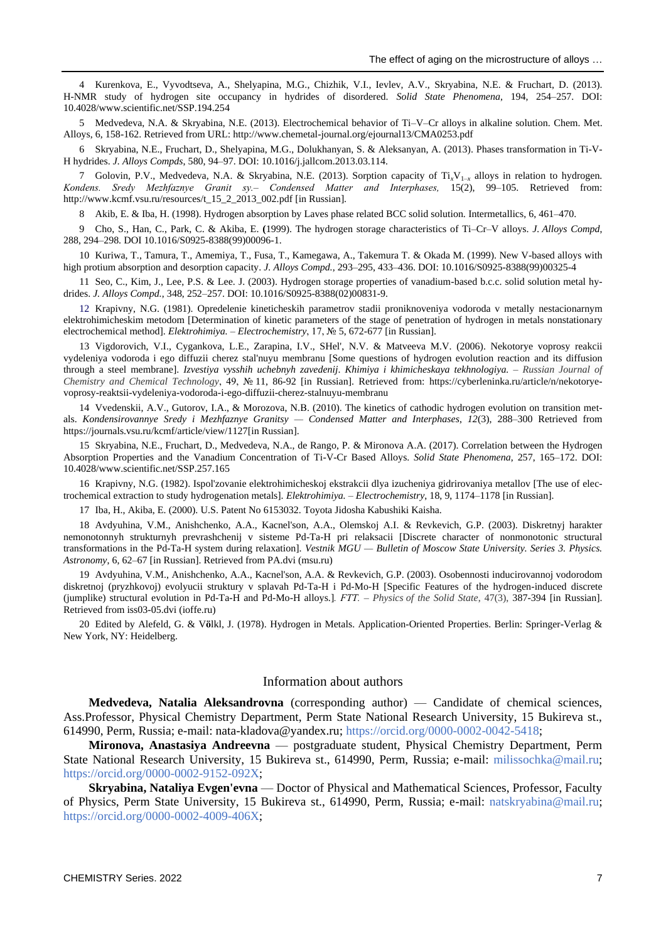4 Kurenkova, E., Vyvodtseva, A., Shelyapina, M.G., Chizhik, V.I., Ievlev, A.V., Skryabina, N.E. & Fruchart, D. (2013). H-NMR study of hydrogen site occupancy in hydrides of disordered. *Solid State Phenomena*, 194, 254–257. DOI: 10.4028/www.scientific.net/SSP.194.254

5 Medvedeva, N.A. & Skryabina, N.E. (2013). Electrochemical behavior of Ti–V–Cr alloys in alkaline solution. Chem. Met. Alloys, 6, 158-162. Retrieved from URL: http://www.chemetal-journal.org/ejournal13/CMA0253.pdf

6 Skryabina, N.E., Fruchart, D., Shelyapina, M.G., Dolukhanyan, S. & Aleksanyan, A. (2013). Phases transformation in Ti-V-H hydrides. *J. Alloys Compds*, 580, 94–97. DOI: 10.1016/j.jallcom.2013.03.114.

7 Golovin, P.V., Medvedeva, N.A. & Skryabina, N.E. (2013). Sorption capacity of Ti*x*V1–*<sup>x</sup>* alloys in relation to hydrogen. *Kondens. Sredy Mezhfaznye Granit sy.‒ Condensed Matter and Interphases,* 15(2), 99–105. Retrieved from: http://www.kcmf.vsu.ru/resources/t\_15\_2\_2013\_002.pdf [in Russian].

8 Akib, E. & Iba, H. (1998). Hydrogen absorption by Laves phase related BCC solid solution. Intermetallics, 6, 461–470.

9 Cho, S., Han, C., Park, C. & Akiba, E. **(**1999). The hydrogen storage characteristics of Ti–Cr–V alloys. *J. Alloys Compd*, 288, 294–298. DOI 10.1016/S0925-8388(99)00096-1.

10 Kuriwa, T., Tamura, T., Amemiya, T., Fusa, T., Kamegawa, A., Takemura T. & Okada M. (1999). New V-based alloys with high protium absorption and desorption capacity. *J. Alloys Compd.*, 293–295, 433–436. DOI: 10.1016/S0925-8388(99)00325-4

11 Seo, C., Kim, J., Lee, P.S. & Lee. J. (2003). Hydrogen storage properties of vanadium-based b.c.c. solid solution metal hydrides. *J. Alloys Compd.*, 348, 252–257. DOI: 10.1016/S0925-8388(02)00831-9.

12 Krapivny, N.G. (1981). Opredelenie kineticheskih parametrov stadii proniknoveniya vodoroda v metally nestacionarnym elektrohimicheskim metodom [Determination of kinetic parameters of the stage of penetration of hydrogen in metals nonstationary electrochemical method]. *Elektrohimiya.* ‒ *Electrochemistry*, 17, № 5, 672-677 [in Russian].

13 Vigdorovich, V.I., Cygankova, L.E., Zarapina, I.V., SHel', N.V. & Matveeva M.V. (2006). Nekotorye voprosy reakcii vydeleniya vodoroda i ego diffuzii cherez stal'nuyu membranu [Some questions of hydrogen evolution reaction and its diffusion through a steel membrane]. *Izvestiya vysshih uchebnyh zavedenij*. *Khimiya i khimicheskaya tekhnologiya.* ‒ *Russian Journal of Chemistry and Chemical Technology*, 49, № 11, 86-92 [in Russian]. Retrieved from: https://cyberleninka.ru/article/n/nekotoryevoprosy-reaktsii-vydeleniya-vodoroda-i-ego-diffuzii-cherez-stalnuyu-membranu

14 Vvedenskii, A.V., Gutorov, I.A., & Morozova, N.В. (2010). The kinetics of cathodic hydrogen evolution on transition metals. *Kondensirovannye Sredy i Mezhfaznye Granitsy — Condensed Matter and Interphases*, *12*(3), 288–300 Retrieved from https://journals.vsu.ru/kcmf/article/view/1127[in Russian].

15 Skryabina, N.E., Fruchart, D., Medvedeva, N.A., de Rango, P. & Mironova A.A. (2017). Correlation between the Hydrogen Absorption Properties and the Vanadium Concentration of Ti-V-Cr Based Alloys. *Solid State Phenomena*, 257, 165–172. DOI: 10.4028/www.scientific.net/SSP.257.165

16 Krapivny, N.G. (1982). Ispol'zovanie elektrohimicheskoj ekstrakcii dlya izucheniya gidrirovaniya metallov [The use of electrochemical extraction to study hydrogenation metals]. *Elektrohimiya.* ‒ *Electrochemistry*, 18, 9, 1174–1178 [in Russian].

17 Iba, H., Akiba, E. (2000). U.S. Patent No 6153032. Toyota Jidosha Kabushiki Kaisha.

18 Avdyuhina, V.M., Anishchenko, A.A., Kacnel'son, A.A., Olemskoj A.I. & Revkevich, G.P. (2003). Diskretnyj harakter nemonotonnyh strukturnyh prevrashchenij v sisteme Pd-Ta-H pri relaksacii [Discrete character of nonmonotonic structural transformations in the Pd-Ta-H system during relaxation]. *Vestnik MGU — Bulletin of Moscow State University. Series 3. Physics. Astronomy*, 6, 62–67 [in Russian]. Retrieved from [PA.dvi \(msu.ru\)](https://phys.msu.ru/upload/iblock/27e/03-6-62.pdf)

19 Avdyuhina, V.M., Anishchenko, A.A., Kacnel'son, A.A. & Revkevich, G.P. (2003). Osobennosti inducirovannoj vodorodom diskretnoj (pryzhkovoj) evolyucii struktury v splavah Pd-Ta-H i Pd-Mo-H [Specific Features of the hydrogen-induced discrete (jumplike) structural evolution in Pd-Ta-H and Pd-Mo-H alloys.]*. FTT. ‒ Physics of the Solid State*, 47(3), 387-394 [in Russian]. Retrieved fro[m iss03-05.dvi \(ioffe.ru\)](http://journals.ioffe.ru/articles/viewPDF/3745)

20 Edited by Alefeld, G. & V**ö**lkl, J. (1978). Hydrogen in Metals. Application-Oriented Properties. Berlin: Springer-Verlag & New York, NY: Heidelberg.

### Information about authors

**Medvedeva, Natalia Aleksandrovna** (corresponding author) — Candidate of chemical sciences, Ass.Professor, Physical Chemistry Department, Perm State National Research University, 15 Bukireva st., 614990, Perm, Russia; e-mail: nata-kladova@yandex.ru; [https://orcid.org/0000-0002-0042-5418;](https://orcid.org/0000-0002-0042-5418)

**Mironova, Anastasiya Andreevna** — postgraduate student, Physical Chemistry Department, Perm State National Research University, 15 Bukireva st., 614990, Perm, Russia; e-mail: [milissochka@mail.ru;](mailto:milissochka@mail.ru) [https://orcid.org/0000-0002-9152-092X;](https://orcid.org/0000-0002-9152-092X)

**Skryabina, Nataliya Evgen'evna** — Doctor of Physical and Mathematical Sciences, Professor, Faculty of Physics, Perm State University, 15 Bukireva st., 614990, Perm, Russia; e-mail: [natskryabina@mail.ru;](mailto:natskryabina@mail.ru) [https://orcid.org/0000-0002-4009-406X;](https://orcid.org/0000-0002-4009-406X)